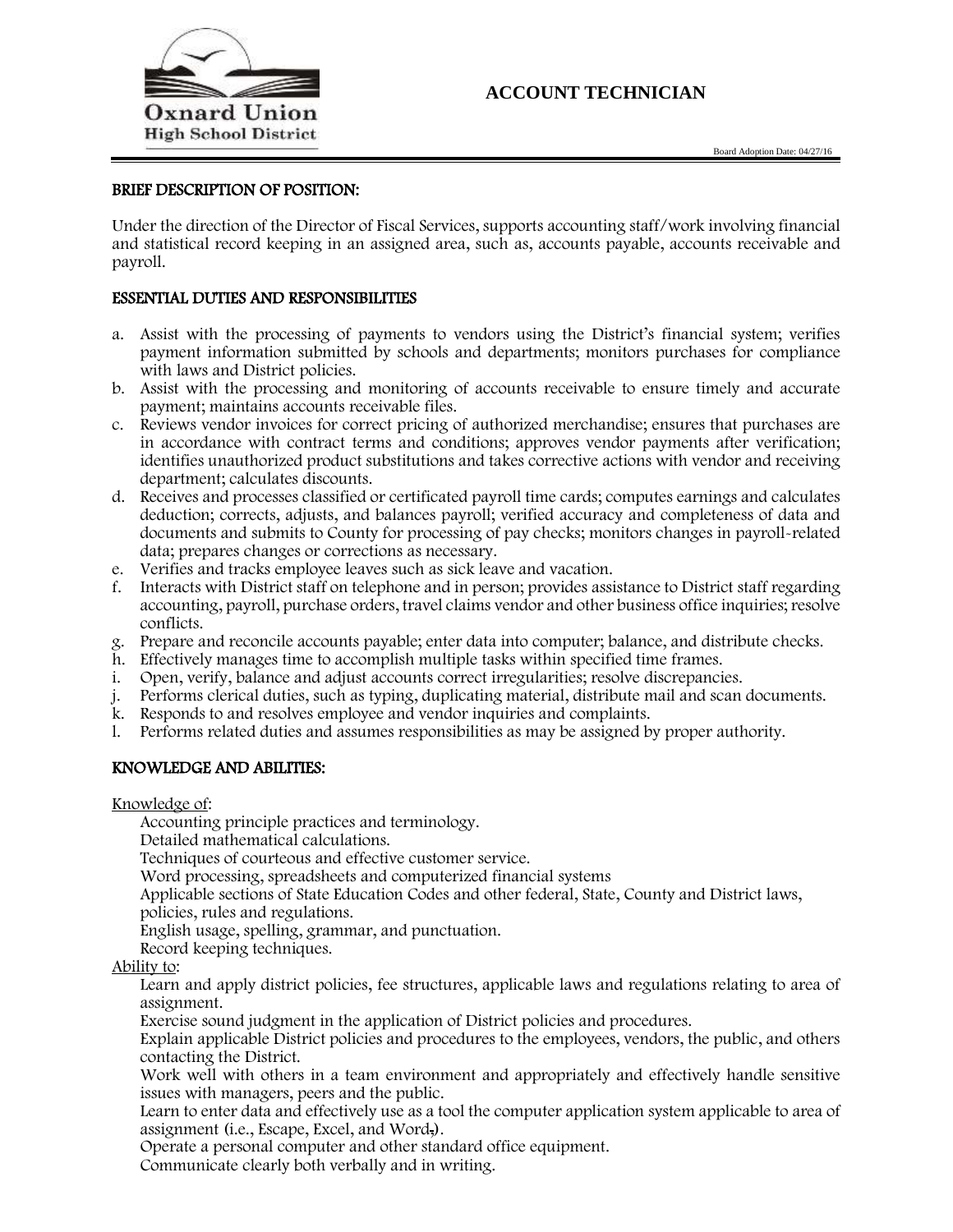

## **ACCOUNT TECHNICIAN**

### BRIEF DESCRIPTION OF POSITION:

Under the direction of the Director of Fiscal Services, supports accounting staff/work involving financial and statistical record keeping in an assigned area, such as, accounts payable, accounts receivable and payroll.

### ESSENTIAL DUTIES AND RESPONSIBILITIES

- a. Assist with the processing of payments to vendors using the District's financial system; verifies payment information submitted by schools and departments; monitors purchases for compliance with laws and District policies.
- b. Assist with the processing and monitoring of accounts receivable to ensure timely and accurate payment; maintains accounts receivable files.
- c. Reviews vendor invoices for correct pricing of authorized merchandise; ensures that purchases are in accordance with contract terms and conditions; approves vendor payments after verification; identifies unauthorized product substitutions and takes corrective actions with vendor and receiving department; calculates discounts.
- d. Receives and processes classified or certificated payroll time cards; computes earnings and calculates deduction; corrects, adjusts, and balances payroll; verified accuracy and completeness of data and documents and submits to County for processing of pay checks; monitors changes in payroll-related data; prepares changes or corrections as necessary.
- e. Verifies and tracks employee leaves such as sick leave and vacation.
- f. Interacts with District staff on telephone and in person; provides assistance to District staff regarding accounting, payroll, purchase orders, travel claims vendor and other business office inquiries; resolve conflicts.
- g. Prepare and reconcile accounts payable; enter data into computer; balance, and distribute checks.
- h. Effectively manages time to accomplish multiple tasks within specified time frames.
- i. Open, verify, balance and adjust accounts correct irregularities; resolve discrepancies.
- j. Performs clerical duties, such as typing, duplicating material, distribute mail and scan documents.
- k. Responds to and resolves employee and vendor inquiries and complaints.
- l. Performs related duties and assumes responsibilities as may be assigned by proper authority.

#### KNOWLEDGE AND ABILITIES:

Knowledge of:

Accounting principle practices and terminology.

Detailed mathematical calculations.

Techniques of courteous and effective customer service.

Word processing, spreadsheets and computerized financial systems

Applicable sections of State Education Codes and other federal, State, County and District laws,

policies, rules and regulations.

English usage, spelling, grammar, and punctuation.

Record keeping techniques.

Ability to:

Learn and apply district policies, fee structures, applicable laws and regulations relating to area of assignment.

Exercise sound judgment in the application of District policies and procedures.

Explain applicable District policies and procedures to the employees, vendors, the public, and others contacting the District.

Work well with others in a team environment and appropriately and effectively handle sensitive issues with managers, peers and the public.

Learn to enter data and effectively use as a tool the computer application system applicable to area of assignment (i.e., Escape, Excel, and Word,).

Operate a personal computer and other standard office equipment.

Communicate clearly both verbally and in writing.